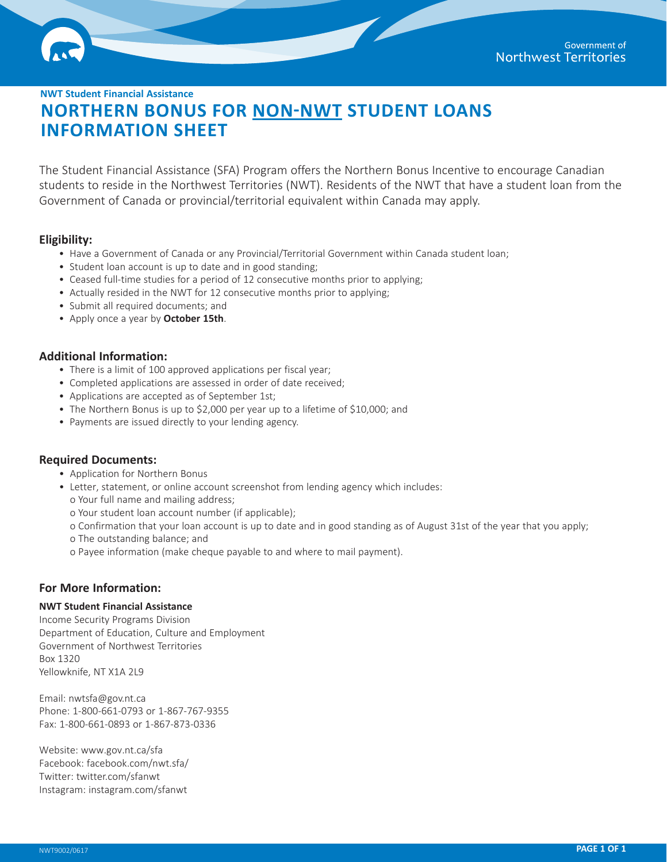**NWT Student Financial Assistance**

# **NORTHERN BONUS FOR NON-NWT STUDENT LOANS INFORMATION SHEET**

The Student Financial Assistance (SFA) Program offers the Northern Bonus Incentive to encourage Canadian students to reside in the Northwest Territories (NWT). Residents of the NWT that have a student loan from the Government of Canada or provincial/territorial equivalent within Canada may apply.

## **Eligibility:**

- Have a Government of Canada or any Provincial/Territorial Government within Canada student loan;
- Student loan account is up to date and in good standing;
- Ceased full-time studies for a period of 12 consecutive months prior to applying;
- Actually resided in the NWT for 12 consecutive months prior to applying;
- Submit all required documents; and
- Apply once a year by **October 15th**.

## **Additional Information:**

- There is a limit of 100 approved applications per fiscal year;
- Completed applications are assessed in order of date received;
- Applications are accepted as of September 1st;
- The Northern Bonus is up to \$2,000 per year up to a lifetime of \$10,000; and
- Payments are issued directly to your lending agency.

## **Required Documents:**

- Application for Northern Bonus
- Letter, statement, or online account screenshot from lending agency which includes:
- o Your full name and mailing address;
- o Your student loan account number (if applicable);
- o Confirmation that your loan account is up to date and in good standing as of August 31st of the year that you apply;
- o The outstanding balance; and
- o Payee information (make cheque payable to and where to mail payment).

## **For More Information:**

## **NWT Student Financial Assistance**

Income Security Programs Division Department of Education, Culture and Employment Government of Northwest Territories Box 1320 Yellowknife, NT X1A 2L9

Email: [nwtsfa@gov.nt.ca](mailto:nwtsfa%40gov.nt.ca?subject=Northern%20Bonus%20for%20Non%20NWT%20Student%20Loans) Phone: 1-800-661-0793 or 1-867-767-9355 Fax: 1-800-661-0893 or 1-867-873-0336

Website: [www.](http://www.nwtsfa.gov.nt.ca)[gov.nt.ca/sfa](http://www.bringitnorth.ca) Facebook: [facebook.com/nwt.sfa/](http://facebook.com/nwt.sfa/) Twitter: twitter.com/sfanwt [Instagram: instagram.com/sfanwt](http://twitter.com/sfanwt)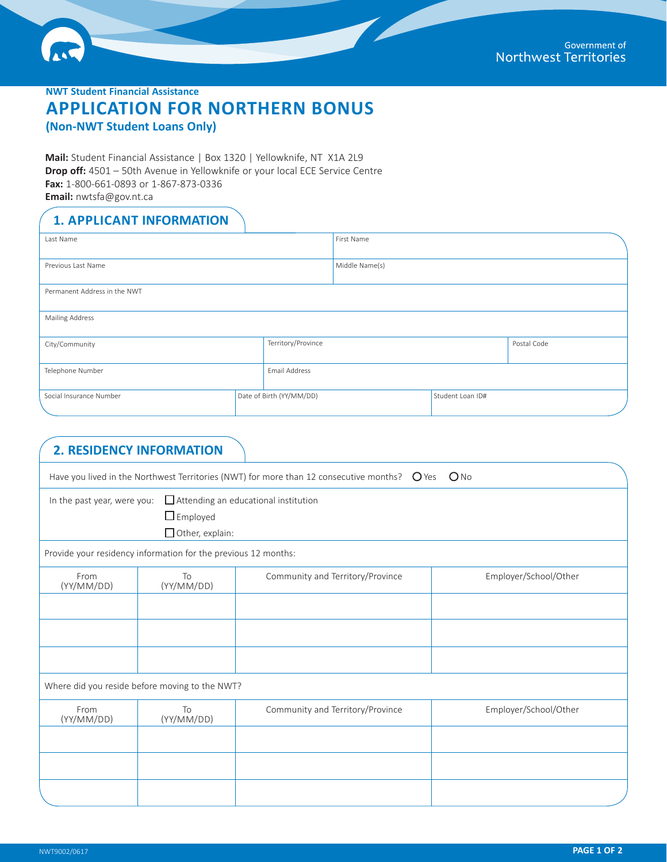**NWT Student Financial Assistance**

# **APPLICATION FOR NORTHERN BONUS**

**(Non-NWT Student Loans Only)**

**Mail:** Student Financial Assistance | Box 1320 | Yellowknife, NT X1A 2L9 **Drop off:** 4501 – 50th Avenue in Yellowknife or your local ECE Service Centre **Fax:** 1-800-661-0893 or 1-867-873-0336 **Email:** [nwtsfa@gov.nt.ca](mailto:nwtsfa%40gov.nt.ca?subject=Application%20for%20Northern%20Bonus%20Non%20NWT%20Student%20Loans)

## **1. APPLICANT INFORMATION**

| Last Name                    |  | First Name               |                |                  |  |
|------------------------------|--|--------------------------|----------------|------------------|--|
| Previous Last Name           |  |                          | Middle Name(s) |                  |  |
| Permanent Address in the NWT |  |                          |                |                  |  |
| <b>Mailing Address</b>       |  |                          |                |                  |  |
| City/Community               |  | Territory/Province       |                | Postal Code      |  |
| Telephone Number             |  | Email Address            |                |                  |  |
| Social Insurance Number      |  | Date of Birth (YY/MM/DD) |                | Student Loan ID# |  |

|                             | <b>2. RESIDENCY INFORMATION</b>                                |                                                                                                                     |                       |
|-----------------------------|----------------------------------------------------------------|---------------------------------------------------------------------------------------------------------------------|-----------------------|
|                             |                                                                | Have you lived in the Northwest Territories (NWT) for more than 12 consecutive months? $\bigcirc$ Yes $\bigcirc$ No |                       |
| In the past year, were you: | $\Box$ Employed<br>Other, explain:                             | Attending an educational institution                                                                                |                       |
|                             | Provide your residency information for the previous 12 months: |                                                                                                                     |                       |
| From<br>(YY/MM/DD)          | To<br>(YY/MM/DD)                                               | Community and Territory/Province                                                                                    | Employer/School/Other |
|                             |                                                                |                                                                                                                     |                       |
|                             |                                                                |                                                                                                                     |                       |
|                             |                                                                |                                                                                                                     |                       |
|                             | Where did you reside before moving to the NWT?                 |                                                                                                                     |                       |
| From<br>(YY/MM/DD)          | To<br>(YY/MM/DD)                                               | Community and Territory/Province                                                                                    | Employer/School/Other |
|                             |                                                                |                                                                                                                     |                       |
|                             |                                                                |                                                                                                                     |                       |
|                             |                                                                |                                                                                                                     |                       |